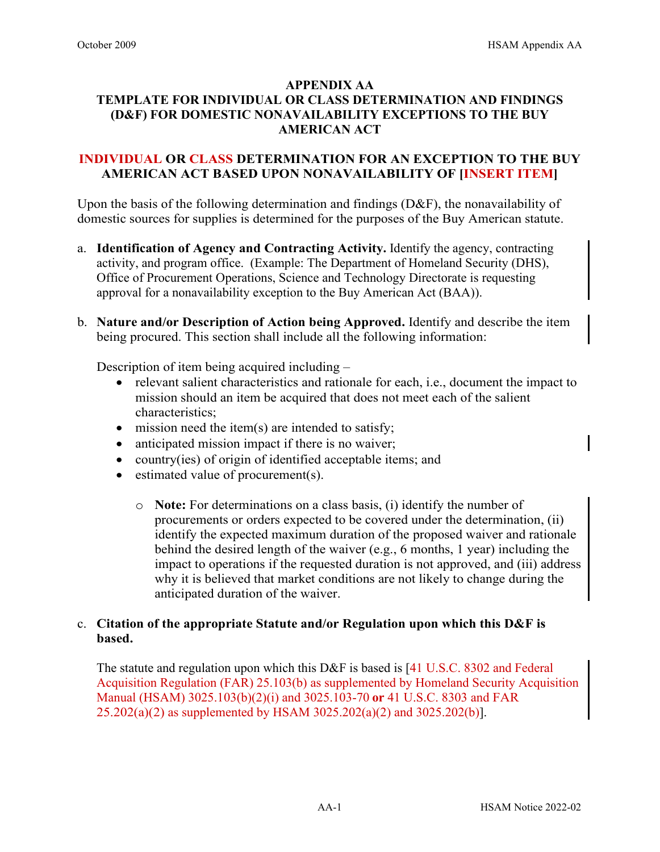### **APPENDIX AA**

# **TEMPLATE FOR INDIVIDUAL OR CLASS DETERMINATION AND FINDINGS (D&F) FOR DOMESTIC NONAVAILABILITY EXCEPTIONS TO THE BUY AMERICAN ACT**

# **INDIVIDUAL OR CLASS DETERMINATION FOR AN EXCEPTION TO THE BUY AMERICAN ACT BASED UPON NONAVAILABILITY OF [INSERT ITEM]**

Upon the basis of the following determination and findings (D&F), the nonavailability of domestic sources for supplies is determined for the purposes of the Buy American statute.

- a. **Identification of Agency and Contracting Activity.** Identify the agency, contracting activity, and program office. (Example: The Department of Homeland Security (DHS), Office of Procurement Operations, Science and Technology Directorate is requesting approval for a nonavailability exception to the Buy American Act (BAA)).
- b. **Nature and/or Description of Action being Approved.** Identify and describe the item being procured. This section shall include all the following information:

Description of item being acquired including –

- relevant salient characteristics and rationale for each, i.e., document the impact to mission should an item be acquired that does not meet each of the salient characteristics;
- $\bullet$  mission need the item(s) are intended to satisfy;
- anticipated mission impact if there is no waiver;
- country(ies) of origin of identified acceptable items; and
- estimated value of procurement(s).
	- o **Note:** For determinations on a class basis, (i) identify the number of procurements or orders expected to be covered under the determination, (ii) identify the expected maximum duration of the proposed waiver and rationale behind the desired length of the waiver (e.g., 6 months, 1 year) including the impact to operations if the requested duration is not approved, and (iii) address why it is believed that market conditions are not likely to change during the anticipated duration of the waiver.

# c. **Citation of the appropriate Statute and/or Regulation upon which this D&F is based.**

The statute and regulation upon which this D&F is based is [41 U.S.C. 8302 and Federal Acquisition Regulation (FAR) 25.103(b) as supplemented by Homeland Security Acquisition Manual (HSAM) 3025.103(b)(2)(i) and 3025.103-70 **or** 41 U.S.C. 8303 and FAR 25.202(a)(2) as supplemented by HSAM 3025.202(a)(2) and 3025.202(b)].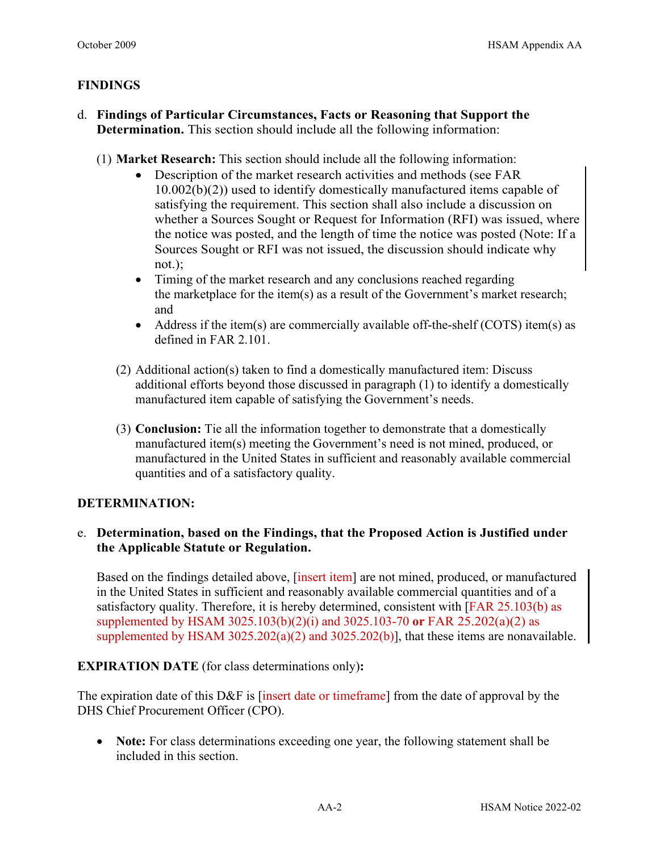# **FINDINGS**

- d. **Findings of Particular Circumstances, Facts or Reasoning that Support the Determination.** This section should include all the following information:
	- (1) **Market Research:** This section should include all the following information:
		- Description of the market research activities and methods (see FAR 10.002(b)(2)) used to identify domestically manufactured items capable of satisfying the requirement. This section shall also include a discussion on whether a Sources Sought or Request for Information (RFI) was issued, where the notice was posted, and the length of time the notice was posted (Note: If a Sources Sought or RFI was not issued, the discussion should indicate why not.);
		- Timing of the market research and any conclusions reached regarding the marketplace for the item(s) as a result of the Government's market research; and
		- Address if the item(s) are commercially available off-the-shelf (COTS) item(s) as defined in FAR 2.101.
		- (2) Additional action(s) taken to find a domestically manufactured item: Discuss additional efforts beyond those discussed in paragraph (1) to identify a domestically manufactured item capable of satisfying the Government's needs.
		- (3) **Conclusion:** Tie all the information together to demonstrate that a domestically manufactured item(s) meeting the Government's need is not mined, produced, or manufactured in the United States in sufficient and reasonably available commercial quantities and of a satisfactory quality.

#### **DETERMINATION:**

# e. **Determination, based on the Findings, that the Proposed Action is Justified under the Applicable Statute or Regulation.**

Based on the findings detailed above, [insert item] are not mined, produced, or manufactured in the United States in sufficient and reasonably available commercial quantities and of a satisfactory quality. Therefore, it is hereby determined, consistent with [FAR 25.103(b) as supplemented by HSAM 3025.103(b)(2)(i) and 3025.103-70 **or** FAR 25.202(a)(2) as supplemented by HSAM 3025.202(a)(2) and 3025.202(b)], that these items are nonavailable.

**EXPIRATION DATE** (for class determinations only)**:** 

The expiration date of this D&F is [insert date or time frame] from the date of approval by the DHS Chief Procurement Officer (CPO).

• **Note:** For class determinations exceeding one year, the following statement shall be included in this section.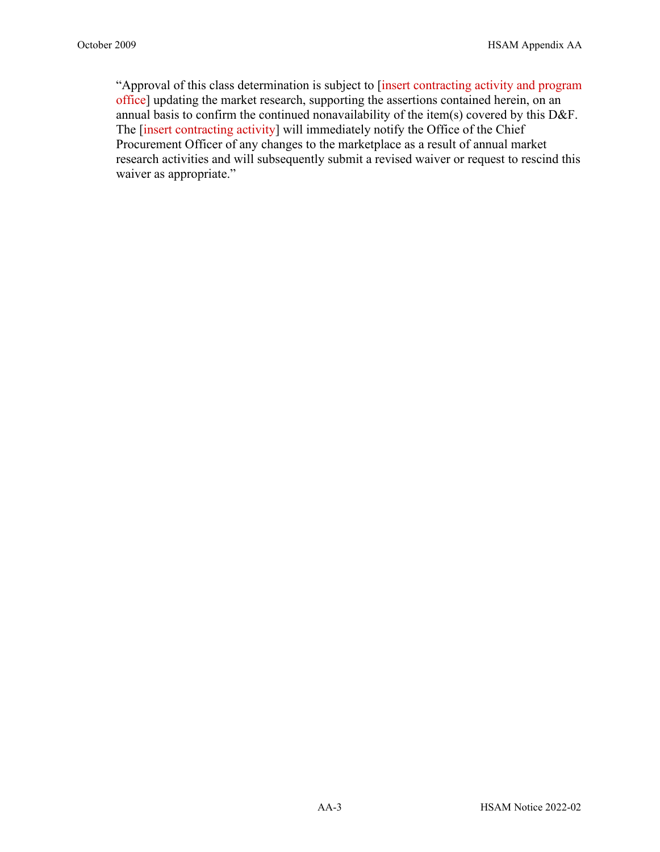"Approval of this class determination is subject to [insert contracting activity and program office] updating the market research, supporting the assertions contained herein, on an annual basis to confirm the continued nonavailability of the item(s) covered by this D&F. The [insert contracting activity] will immediately notify the Office of the Chief Procurement Officer of any changes to the marketplace as a result of annual market research activities and will subsequently submit a revised waiver or request to rescind this waiver as appropriate."